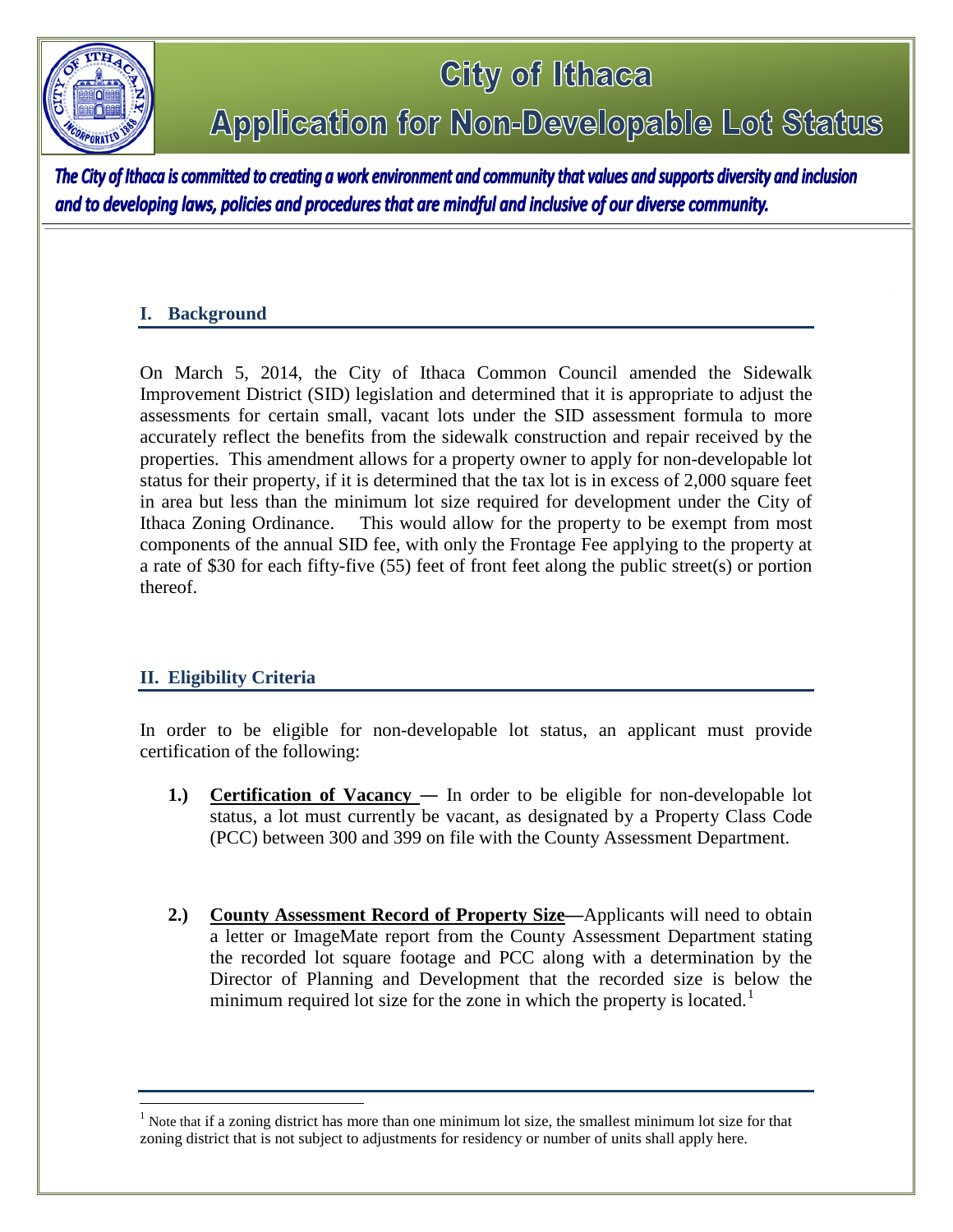

# City of Ithaca Application for Non-Developable Lot Status

The City of Ithaca is committed to creating a work environment and community that values and supports diversity and inclusion and to developing laws, policies and procedures that are mindful and inclusive of our diverse community.

### **I. Background**

On March 5, 2014, the City of Ithaca Common Council amended the Sidewalk Improvement District (SID) legislation and determined that it is appropriate to adjust the assessments for certain small, vacant lots under the SID assessment formula to more accurately reflect the benefits from the sidewalk construction and repair received by the properties. This amendment allows for a property owner to apply for non-developable lot status for their property, if it is determined that the tax lot is in excess of 2,000 square feet in area but less than the minimum lot size required for development under the City of Ithaca Zoning Ordinance. This would allow for the property to be exempt from most components of the annual SID fee, with only the Frontage Fee applying to the property at a rate of \$30 for each fifty-five (55) feet of front feet along the public street(s) or portion thereof.

## **II. Eligibility Criteria**

 $\overline{a}$ 

In order to be eligible for non-developable lot status, an applicant must provide certification of the following:

- **1.) Certification of Vacancy** In order to be eligible for non-developable lot status, a lot must currently be vacant, as designated by a Property Class Code (PCC) between 300 and 399 on file with the County Assessment Department.
- **2.) County Assessment Record of Property Size—**Applicants will need to obtain a letter or ImageMate report from the County Assessment Department stating the recorded lot square footage and PCC along with a determination by the Director of Planning and Development that the recorded size is below the minimum required lot size for the zone in which the property is located.<sup>[1](#page-0-0)</sup>

<span id="page-0-0"></span> $<sup>1</sup>$  Note that if a zoning district has more than one minimum lot size, the smallest minimum lot size for that</sup> zoning district that is not subject to adjustments for residency or number of units shall apply here.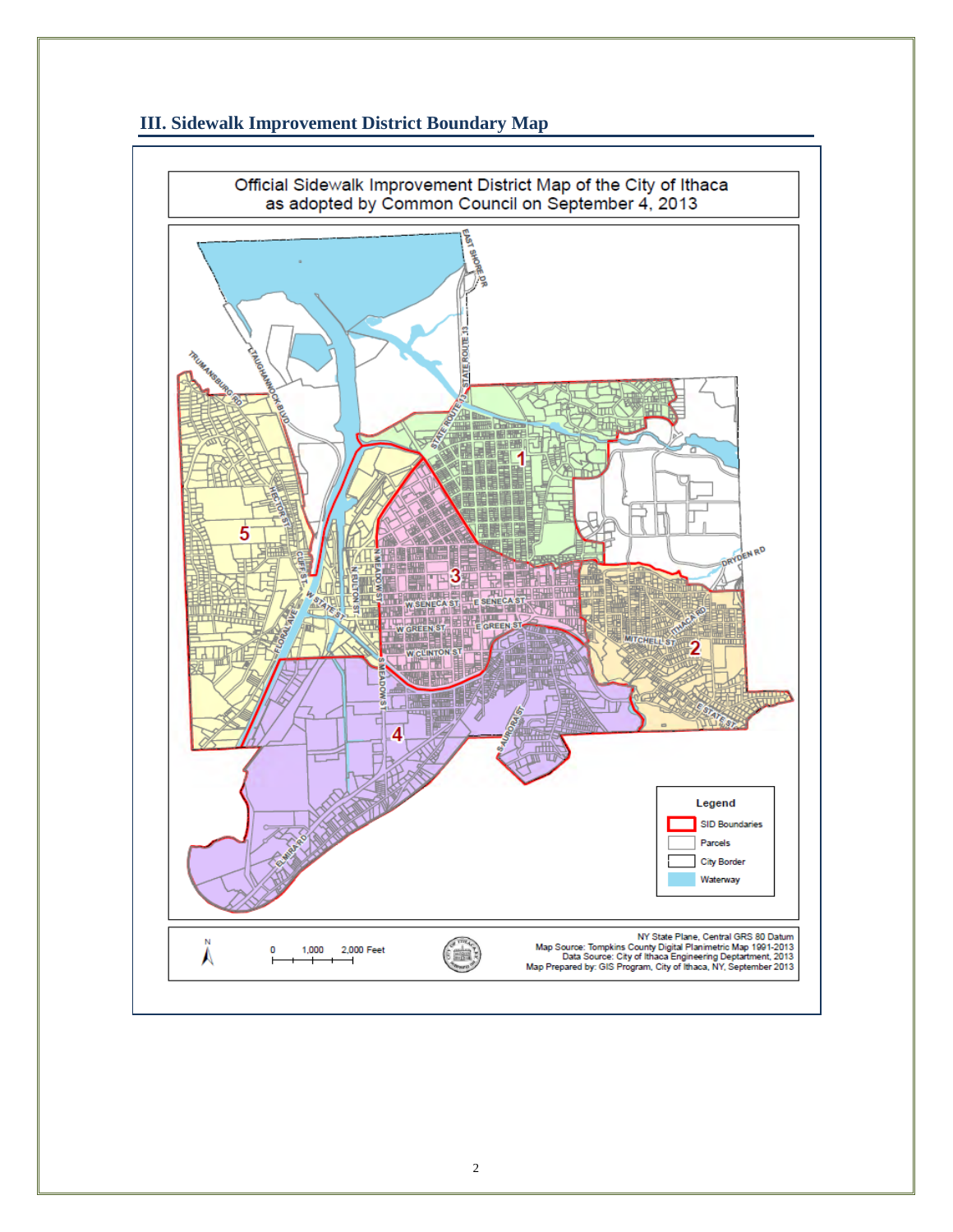

### **III. Sidewalk Improvement District Boundary Map**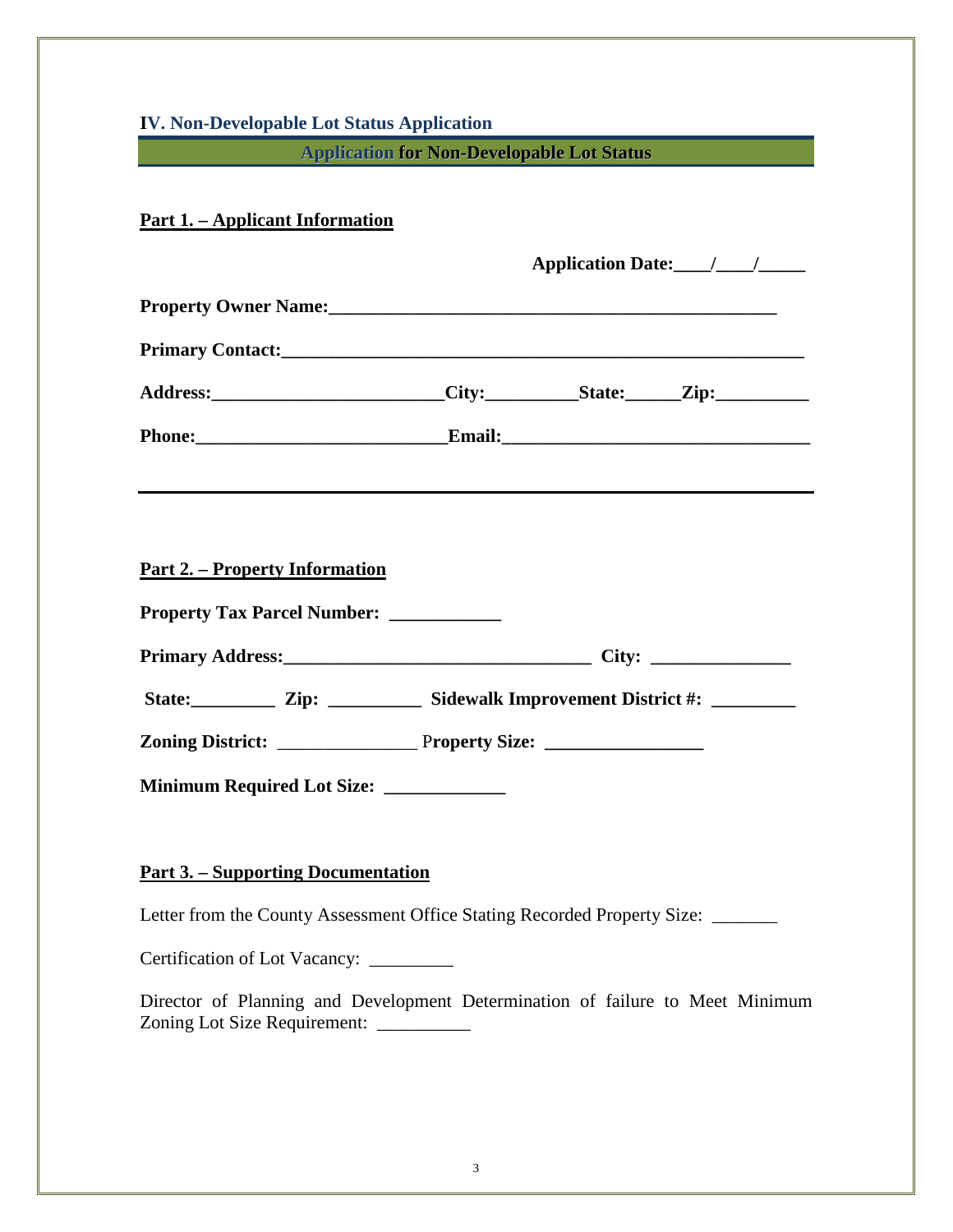| <b>IV. Non-Developable Lot Status Application</b>                                                                                                                                                                              |
|--------------------------------------------------------------------------------------------------------------------------------------------------------------------------------------------------------------------------------|
| <b>Application for Non-Developable Lot Status</b>                                                                                                                                                                              |
| <u>Part 1. – Applicant Information</u>                                                                                                                                                                                         |
| Application Date: 1 1                                                                                                                                                                                                          |
| Property Owner Name: 2008 and 2008 and 2008 and 2008 and 2008 and 2008 and 2008 and 2008 and 2008 and 2008 and 2008 and 2008 and 2008 and 2008 and 2008 and 2008 and 2008 and 2008 and 2008 and 2008 and 2008 and 2008 and 200 |
|                                                                                                                                                                                                                                |
| Address: ________________________City: ___________State: ______Zip: ____________                                                                                                                                               |
|                                                                                                                                                                                                                                |
|                                                                                                                                                                                                                                |
|                                                                                                                                                                                                                                |
| <u> Part 2. – Property Information</u>                                                                                                                                                                                         |
|                                                                                                                                                                                                                                |
|                                                                                                                                                                                                                                |
| State: Zip: _______ Sidewalk Improvement District #: _______                                                                                                                                                                   |
|                                                                                                                                                                                                                                |
|                                                                                                                                                                                                                                |
| <b>Minimum Required Lot Size:</b>                                                                                                                                                                                              |
|                                                                                                                                                                                                                                |
| <u> Part 3. – Supporting Documentation</u>                                                                                                                                                                                     |
| Letter from the County Assessment Office Stating Recorded Property Size: _______                                                                                                                                               |
| Certification of Lot Vacancy: _________                                                                                                                                                                                        |
| Director of Planning and Development Determination of failure to Meet Minimum<br>Zoning Lot Size Requirement: ____________                                                                                                     |